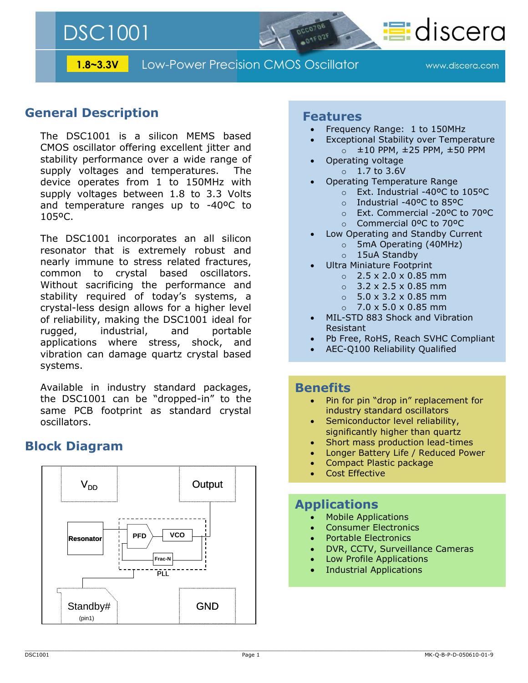DSC1001

**1.8~3.3V** Low-Power Precision CMOS Oscillator

www.discera.com

**T**idiscera

### **General Description**

The DSC1001 is a silicon MEMS based CMOS oscillator offering excellent jitter and stability performance over a wide range of supply voltages and temperatures. The device operates from 1 to 150MHz with supply voltages between 1.8 to 3.3 Volts and temperature ranges up to -40ºC to 105ºC.

The DSC1001 incorporates an all silicon resonator that is extremely robust and nearly immune to stress related fractures, common to crystal based oscillators. Without sacrificing the performance and stability required of today's systems, a crystal-less design allows for a higher level of reliability, making the DSC1001 ideal for rugged, industrial, and portable applications where stress, shock, and vibration can damage quartz crystal based systems.

Available in industry standard packages, the DSC1001 can be "dropped-in" to the same PCB footprint as standard crystal oscillators.

### **Block Diagram**



### **Features**

- Frequency Range: 1 to 150MHz
- Exceptional Stability over Temperature  $\circ$   $\pm$ 10 PPM,  $\pm$ 25 PPM,  $\pm$ 50 PPM
- Operating voltage  $\circ$  1.7 to 3.6V
- Operating Temperature Range
	- o Ext. Industrial -40ºC to 105ºC
	- o Industrial -40ºC to 85ºC
	- o Ext. Commercial -20ºC to 70ºC
	- o Commercial 0ºC to 70ºC
- Low Operating and Standby Current
	- o 5mA Operating (40MHz)
	- o 15uA Standby
- Ultra Miniature Footprint
	- $\circ$  2.5 x 2.0 x 0.85 mm
	- $\circ$  3.2 x 2.5 x 0.85 mm
	- $\circ$  5.0 x 3.2 x 0.85 mm
	- $\circ$  7.0 x 5.0 x 0.85 mm
- MIL-STD 883 Shock and Vibration Resistant
- Pb Free, RoHS, Reach SVHC Compliant
- AEC-Q100 Reliability Qualified

### **Benefits**

- Pin for pin "drop in" replacement for industry standard oscillators
- Semiconductor level reliability, significantly higher than quartz
- Short mass production lead-times
- Longer Battery Life / Reduced Power
- Compact Plastic package
- Cost Effective

### **Applications**

- Mobile Applications
- Consumer Electronics
- Portable Electronics
- DVR, CCTV, Surveillance Cameras
- Low Profile Applications
- Industrial Applications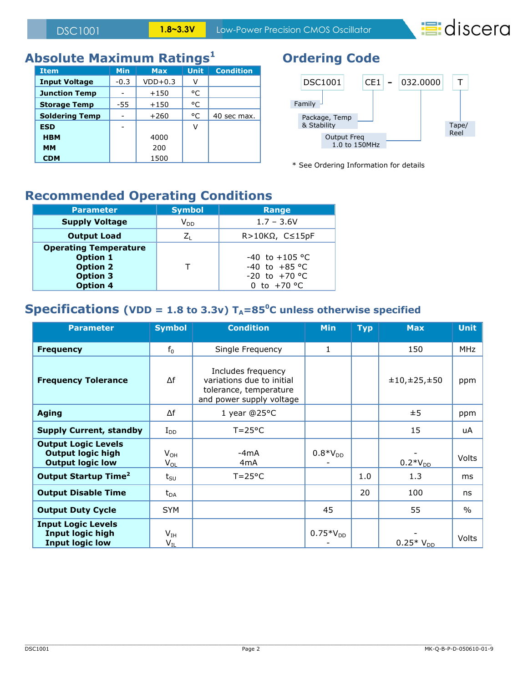**=discera** 

# **Absolute Maximum Ratings<sup>1</sup>**

| <b>Item</b>           | <b>Min</b> | <b>Max</b> | <b>Unit</b> | <b>Condition</b> |
|-----------------------|------------|------------|-------------|------------------|
| <b>Input Voltage</b>  | $-0.3$     | $VDD+0.3$  | ν           |                  |
| <b>Junction Temp</b>  |            | $+150$     | °C          |                  |
| <b>Storage Temp</b>   | -55        | $+150$     | °C          |                  |
| <b>Soldering Temp</b> |            | $+260$     | °C          | 40 sec max.      |
| <b>ESD</b>            |            |            | ν           |                  |
| <b>HBM</b>            |            | 4000       |             |                  |
| <b>MM</b>             |            | 200        |             |                  |
| <b>CDM</b>            |            | 1500       |             |                  |

# **Ordering Code**



\* See Ordering Information for details

## **Recommended Operating Conditions**

| <b>Parameter</b>                                                                                         | <b>Symbol</b> | Range                                                                     |  |  |  |  |
|----------------------------------------------------------------------------------------------------------|---------------|---------------------------------------------------------------------------|--|--|--|--|
| <b>Supply Voltage</b>                                                                                    | $V_{DD}$      | $1.7 - 3.6V$                                                              |  |  |  |  |
| <b>Output Load</b>                                                                                       |               | $R > 10K\Omega$ , $C \le 15pF$                                            |  |  |  |  |
| <b>Operating Temperature</b><br><b>Option 1</b><br><b>Option 2</b><br><b>Option 3</b><br><b>Option 4</b> |               | $-40$ to $+105$ °C<br>$-40$ to $+85$ °C<br>$-20$ to $+70$ °C<br>to +70 °C |  |  |  |  |

### **Specifications** (VDD = 1.8 to 3.3v)  $T_A = 85^\circ$ C unless otherwise specified

| <b>Parameter</b>                                                                  | <b>Symbol</b>        | <b>Condition</b>                                                                                      | <b>Min</b>    | Тур | <b>Max</b>    | <b>Unit</b> |
|-----------------------------------------------------------------------------------|----------------------|-------------------------------------------------------------------------------------------------------|---------------|-----|---------------|-------------|
| <b>Frequency</b>                                                                  | $f_0$                | Single Frequency                                                                                      | 1             |     | 150           | <b>MHz</b>  |
| <b>Frequency Tolerance</b>                                                        | Δf                   | Includes frequency<br>variations due to initial<br>tolerance, temperature<br>and power supply voltage |               |     | ±10,±25,±50   | ppm         |
| <b>Aging</b>                                                                      | Δf                   | 1 year @25°C                                                                                          |               |     | ±5            | ppm         |
| <b>Supply Current, standby</b>                                                    | $I_{DD}$             | $T = 25^{\circ}C$                                                                                     |               |     | 15            | uA          |
| <b>Output Logic Levels</b><br><b>Output logic high</b><br><b>Output logic low</b> | $V_{OH}$<br>$V_{OL}$ | -4mA<br>4mA                                                                                           | $0.8*V_{DD}$  |     | $0.2*V_{DD}$  | Volts       |
| Output Startup Time <sup>2</sup>                                                  | $t_{\text{SU}}$      | $T = 25^{\circ}C$                                                                                     |               | 1.0 | 1.3           | ms          |
| <b>Output Disable Time</b>                                                        | $t_{DA}$             |                                                                                                       |               | 20  | 100           | ns          |
| <b>Output Duty Cycle</b>                                                          | <b>SYM</b>           |                                                                                                       | 45            |     | 55            | $\%$        |
| <b>Input Logic Levels</b><br><b>Input logic high</b><br><b>Input logic low</b>    | $V_{IH}$<br>$V_{IL}$ |                                                                                                       | $0.75*V_{DD}$ |     | $0.25*V_{DD}$ | Volts       |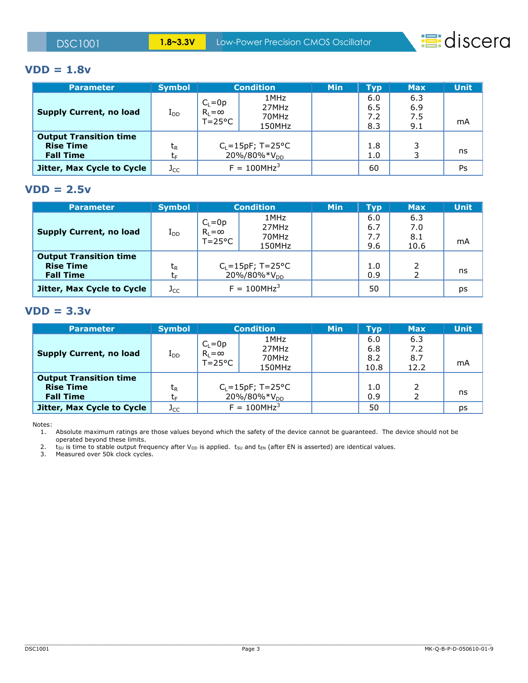

#### **VDD = 1.8v**

| <b>Parameter</b>               | <b>Symbol</b>  | <b>Condition</b>                    |                         | <b>Min</b> | <b>Typ</b> | Max | <b>Unit</b> |
|--------------------------------|----------------|-------------------------------------|-------------------------|------------|------------|-----|-------------|
|                                |                | $C_L = 0p$                          | 1MHz                    |            | 6.0        | 6.3 |             |
|                                |                |                                     | 27MHz                   |            | 6.5        | 6.9 |             |
| <b>Supply Current, no load</b> | $I_{DD}$       | $R_L = \infty$<br>$T = 25^{\circ}C$ | 70MHz                   |            | 7.2        | 7.5 |             |
|                                |                |                                     | 150MHz                  |            | 8.3        | 9.1 | mA          |
| <b>Output Transition time</b>  |                |                                     |                         |            |            |     |             |
| <b>Rise Time</b>               | t <sub>R</sub> |                                     | $C_L = 15pF$ ; T=25°C   |            | 1.8        |     |             |
| <b>Fall Time</b>               | t⊧             |                                     | 20%/80%*V <sub>DD</sub> |            | 1.0        |     | ns          |
| Jitter, Max Cycle to Cycle     | $J_{CC}$       | $F = 100 MHz^{3}$                   |                         |            | 60         |     | Ps          |

#### **VDD = 2.5v**

| <b>Parameter</b>               | <b>Symbol</b> | <b>Condition</b>  |                         | <b>Min</b> | <b>Typ</b> | <b>Max</b> | <b>Unit</b> |
|--------------------------------|---------------|-------------------|-------------------------|------------|------------|------------|-------------|
|                                |               | $C_L = 0p$        | 1MHz                    |            | 6.0        | 6.3        |             |
| <b>Supply Current, no load</b> |               | $R_L = \infty$    | 27MHz                   |            | 6.7        | 7.0        |             |
|                                | $\rm I_{DD}$  | $T = 25^{\circ}C$ | 70MHz                   |            | 7.7        | 8.1        |             |
|                                |               |                   | 150MHz                  |            | 9.6        | 10.6       | mA          |
| <b>Output Transition time</b>  |               |                   |                         |            |            |            |             |
| <b>Rise Time</b>               | $t_{R}$       |                   | $C_L = 15pF$ ; T=25°C   |            | $1.0\,$    |            |             |
| <b>Fall Time</b>               | C۴            |                   | 20%/80%*V <sub>DD</sub> |            | 0.9        |            | ns          |
| Jitter, Max Cycle to Cycle     | $J_{CC}$      |                   | $F = 100 MHz^3$         |            | 50         |            | ps          |

#### **VDD = 3.3v**

| <b>Parameter</b>                                                      | <b>Symbol</b>  | <b>Condition</b>                                  |                                  | <b>Min</b> | <b>Typ</b>                | <b>Max</b>                | <b>Unit</b> |
|-----------------------------------------------------------------------|----------------|---------------------------------------------------|----------------------------------|------------|---------------------------|---------------------------|-------------|
| <b>Supply Current, no load</b>                                        | $\rm I_{DD}$   | $C_L = 0p$<br>$R_1 = \infty$<br>$T = 25^{\circ}C$ | 1MHz<br>27MHz<br>70MHz<br>150MHz |            | 6.0<br>6.8<br>8.2<br>10.8 | 6.3<br>7.2<br>8.7<br>12.2 | mA          |
| <b>Output Transition time</b><br><b>Rise Time</b><br><b>Fall Time</b> | t <sub>R</sub> | $C_L = 15pF$ ; T=25°C<br>20%/80%*V <sub>DD</sub>  |                                  |            | 1.0<br>0.9                |                           | ns          |
| Jitter, Max Cycle to Cycle                                            | $J_{\rm CC}$   | $F = 100 MHz^{3}$                                 |                                  |            | 50                        |                           | ps          |

Notes:

1. Absolute maximum ratings are those values beyond which the safety of the device cannot be guaranteed. The device should not be operated beyond these limits.

2.  $t_{SU}$  is time to stable output frequency after V<sub>DD</sub> is applied.  $t_{SU}$  and  $t_{EN}$  (after EN is asserted) are identical values. 2.  $t_{\text{SU}}$  is time to stable output rreques.<br>3. Measured over 50k clock cycles.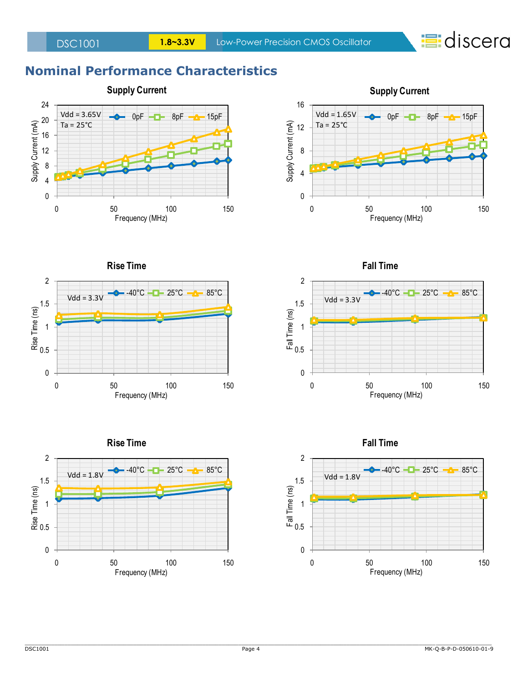

## **Nominal Performance Characteristics**





**Rise Time**









**Fall Time**

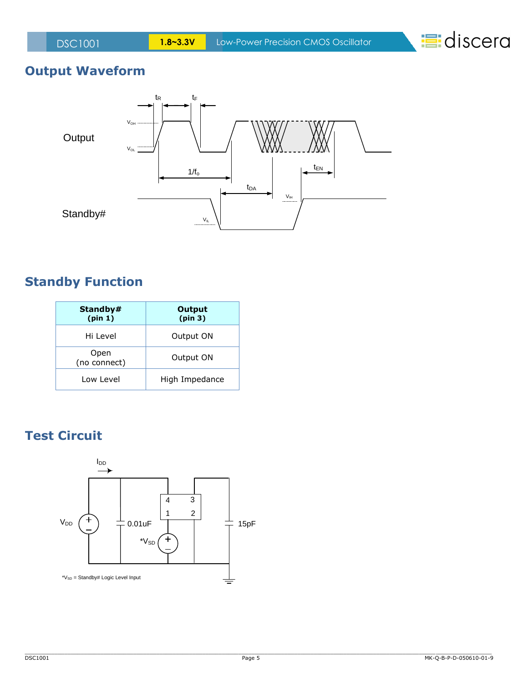**:**discera

# **Output Waveform**



## **Standby Function**

| Standby#<br>(pin 1)  | Output<br>(pin 3) |
|----------------------|-------------------|
| Hi Level             | Output ON         |
| Open<br>(no connect) | Output ON         |
| Low Level            | High Impedance    |

## **Test Circuit**

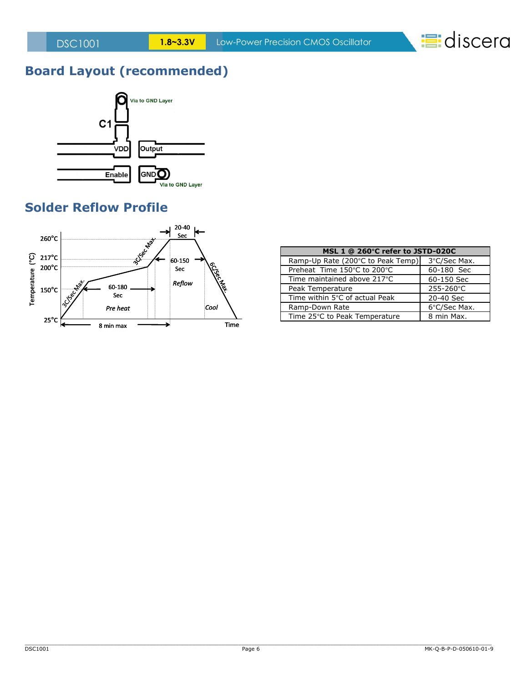**:**discera

# **Board Layout (recommended)**



## **Solder Reflow Profile**



| MSL 1 @ 260°C refer to JSTD-020C  |              |  |  |  |  |
|-----------------------------------|--------------|--|--|--|--|
| Ramp-Up Rate (200°C to Peak Temp) | 3°C/Sec Max. |  |  |  |  |
| Preheat Time 150°C to 200°C       | 60-180 Sec   |  |  |  |  |
| Time maintained above 217°C       | 60-150 Sec   |  |  |  |  |
| Peak Temperature                  | 255-260°C    |  |  |  |  |
| Time within 5°C of actual Peak    | 20-40 Sec    |  |  |  |  |
| Ramp-Down Rate                    | 6°C/Sec Max. |  |  |  |  |
| Time 25°C to Peak Temperature     | 8 min Max.   |  |  |  |  |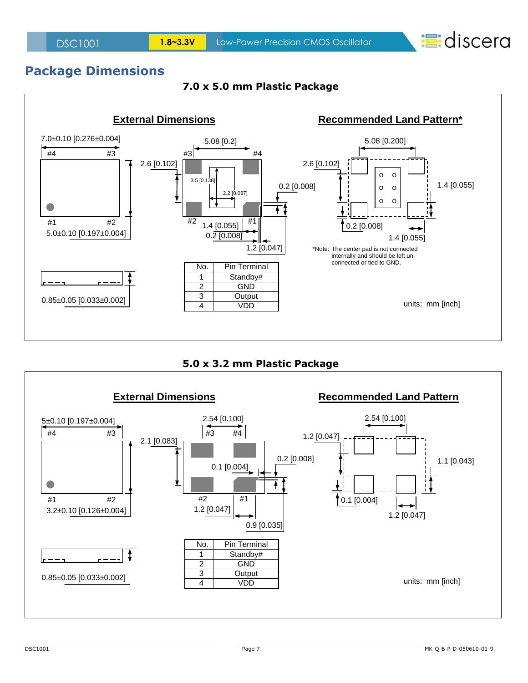**:**discera

### **Package Dimensions**



#### **7.0 x 5.0 mm Plastic Package**



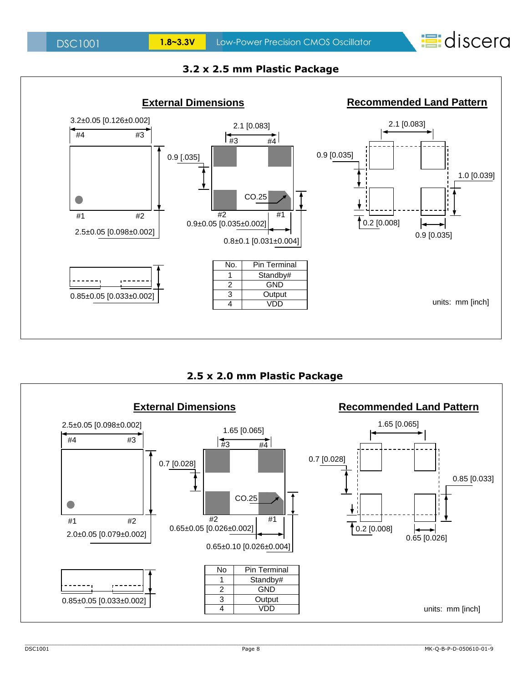



### **3.2 x 2.5 mm Plastic Package**